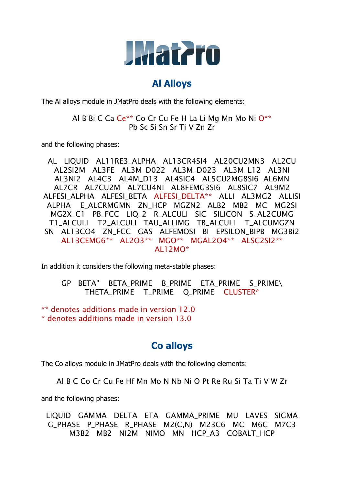

#### **Al Alloys**

The Al alloys module in JMatPro deals with the following elements:

Al B Bi C Ca Ce\*\* Co Cr Cu Fe H La Li Mg Mn Mo Ni O\*\* Pb Sc Si Sn Sr Ti V Zn Zr

and the following phases:

AL LIQUID AL11RE3\_ALPHA AL13CR4SI4 AL20CU2MN3 AL2CU AL2SI2M AL3FE AL3M\_D022 AL3M\_D023 AL3M\_L12 AL3NI AL3NI2 AL4C3 AL4M\_D13 AL4SIC4 AL5CU2MG8SI6 AL6MN AL7CR AL7CU2M AL7CU4NI AL8FEMG3SI6 AL8SIC7 AL9M2 ALFESI\_ALPHA ALFESI\_BETA ALFESI\_DELTA\*\* ALLI AL3MG2 ALLISI ALPHA E ALCRMGMN ZN HCP MGZN2 ALB2 MB2 MC MG2SI MG2X\_C1 PB\_FCC LIQ\_2 R\_ALCULI SIC SILICON S\_AL2CUMG T1\_ALCULI T2\_ALCULI TAU\_ALLIMG TB\_ALCULI T\_ALCUMGZN SN AL13CO4 ZN\_FCC GAS ALFEMOSI BI EPSILON\_BIPB MG3Bi2 AL13CEMG6\*\* AL2O3\*\* MGO\*\* MGAL2O4\*\* ALSC2SI2\*\* AL12MO\*

In addition it considers the following meta-stable phases:

GP BETA" BETA\_PRIME B\_PRIME ETA\_PRIME S\_PRIME\ THETA\_PRIME T\_PRIME Q\_PRIME CLUSTER\*

\*\* denotes additions made in version 12.0 \* denotes additions made in version 13.0

# **Co alloys**

The Co alloys module in JMatPro deals with the following elements:

Al B C Co Cr Cu Fe Hf Mn Mo N Nb Ni O Pt Re Ru Si Ta Ti V W Zr

and the following phases:

LIQUID GAMMA DELTA ETA GAMMA\_PRIME MU LAVES SIGMA G\_PHASE P\_PHASE R\_PHASE M2(C,N) M23C6 MC M6C M7C3 M3B2 MB2 NI2M NIMO MN HCP A3 COBALT HCP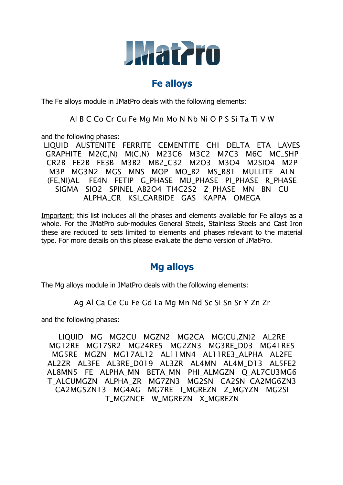

#### **Fe alloys**

The Fe alloys module in JMatPro deals with the following elements:

Al B C Co Cr Cu Fe Mg Mn Mo N Nb Ni O P S Si Ta Ti V W

and the following phases:

LIQUID AUSTENITE FERRITE CEMENTITE CHI DELTA ETA LAVES GRAPHITE M2(C,N) M(C,N) M23C6 M3C2 M7C3 M6C MC\_SHP CR2B FE2B FE3B M3B2 MB2\_C32 M2O3 M3O4 M2SIO4 M2P M3P MG3N2 MGS MNS MOP MO\_B2 MS\_B81 MULLITE ALN (FE,NI)AL FE4N FETIP G\_PHASE MU\_PHASE PI\_PHASE R\_PHASE SIGMA SIO2 SPINEL AB2O4 TI4C2S2 Z PHASE MN BN CU ALPHA\_CR KSI\_CARBIDE GAS KAPPA OMEGA

Important: this list includes all the phases and elements available for Fe alloys as a whole. For the JMatPro sub-modules General Steels, Stainless Steels and Cast Iron these are reduced to sets limited to elements and phases relevant to the material type. For more details on this please evaluate the demo version of JMatPro.

## **Mg alloys**

The Mg alloys module in JMatPro deals with the following elements:

Ag Al Ca Ce Cu Fe Gd La Mg Mn Nd Sc Si Sn Sr Y Zn Zr

and the following phases:

LIQUID MG MG2CU MGZN2 MG2CA MG(CU,ZN)2 AL2RE MG12RE MG17SR2 MG24RE5 MG2ZN3 MG3RE D03 MG41RE5 MG5RE MGZN MG17AL12 AL11MN4 AL11RE3\_ALPHA AL2FE AL2ZR AL3FE AL3RE\_D019 AL3ZR AL4MN AL4M\_D13 AL5FE2 AL8MN5 FE ALPHA\_MN BETA\_MN PHI\_ALMGZN Q\_AL7CU3MG6 T\_ALCUMGZN ALPHA\_ZR MG7ZN3 MG2SN CA2SN CA2MG6ZN3 CA2MG5ZN13 MG4AG MG7RE I\_MGREZN Z\_MGYZN MG2SI T\_MGZNCE W\_MGREZN X\_MGREZN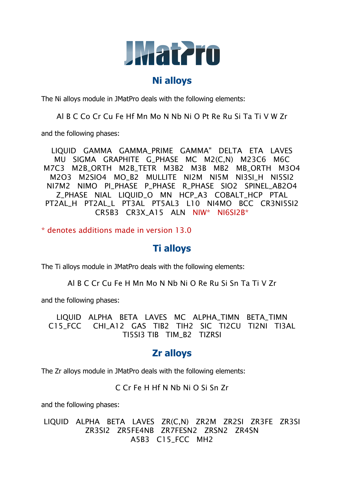

## **Ni alloys**

The Ni alloys module in JMatPro deals with the following elements:

Al B C Co Cr Cu Fe Hf Mn Mo N Nb Ni O Pt Re Ru Si Ta Ti V W Zr

and the following phases:

LIQUID GAMMA GAMMA\_PRIME GAMMA" DELTA ETA LAVES MU SIGMA GRAPHITE G\_PHASE MC M2(C,N) M23C6 M6C M7C3 M2B\_ORTH M2B\_TETR M3B2 M3B MB2 MB\_ORTH M3O4 M2O3 M2SIO4 MO\_B2 MULLITE NI2M NI5M NI3SI\_H NI5SI2 NI7M2 NIMO PI\_PHASE P\_PHASE R\_PHASE SIO2 SPINEL\_AB2O4 Z\_PHASE NIAL LIQUID\_O MN HCP\_A3 COBALT\_HCP PTAL PT2AL\_H PT2AL\_L PT3AL PT5AL3 L10 NI4MO BCC CR3NI5SI2 CR5B3 CR3X\_A15 ALN NIW\* NI6SI2B\*

\* denotes additions made in version 13.0

## **Ti alloys**

The Ti alloys module in JMatPro deals with the following elements:

Al B C Cr Cu Fe H Mn Mo N Nb Ni O Re Ru Si Sn Ta Ti V Zr

and the following phases:

LIQUID ALPHA BETA LAVES MC ALPHA\_TIMN BETA\_TIMN C15 FCC CHI\_A12 GAS TIB2 TIH2 SIC TI2CU TI2NI TI3AL TI5SI3 TIB TIM\_B2 TIZRSI

## **Zr alloys**

The Zr alloys module in JMatPro deals with the following elements:

C Cr Fe H Hf N Nb Ni O Si Sn Zr

and the following phases:

LIQUID ALPHA BETA LAVES ZR(C,N) ZR2M ZR2SI ZR3FE ZR3SI ZR3SI2 ZR5FE4NB ZR7FESN2 ZRSN2 ZR4SN A5B3 C15\_FCC MH2